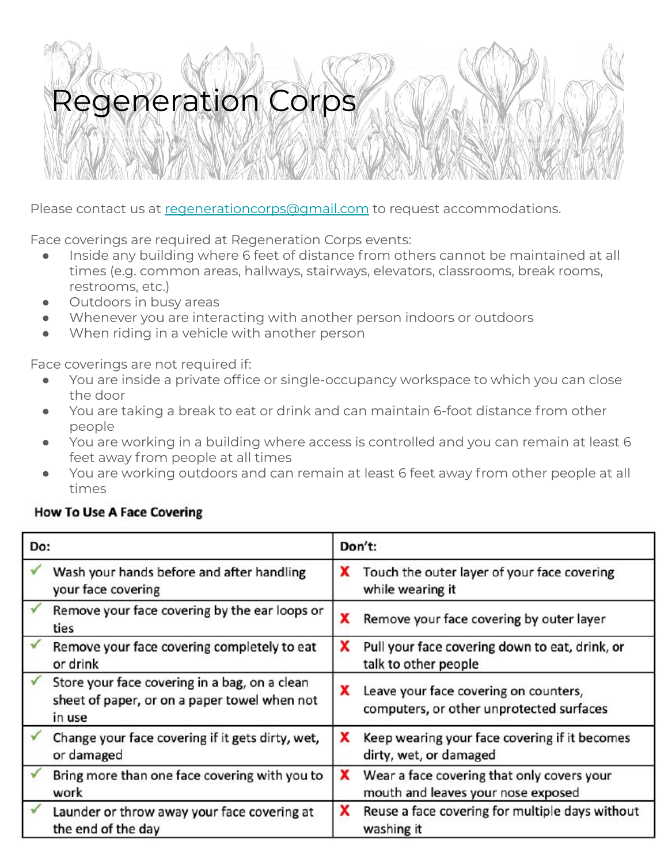Please contact us at [regenerationcorps@gmail.com](mailto:regenerationcorps@gmail.com) to request accommodations.

Face coverings are required at Regeneration Corps events:

- Inside any building where 6 feet of distance from others cannot be maintained at all times (e.g. common areas, hallways, stairways, elevators, classrooms, break rooms, restrooms, etc.)
- Outdoors in busy areas
- Whenever you are interacting with another person indoors or outdoors
- When riding in a vehicle with another person

Face coverings are not required if:

- You are inside a private office or single-occupancy workspace to which you can close the door
- You are taking a break to eat or drink and can maintain 6-foot distance from other people
- You are working in a building where access is controlled and you can remain at least 6 feet away from people at all times
- You are working outdoors and can remain at least 6 feet away from other people at all times

### **How To Use A Face Covering**

| Do: |                                                                                                         | Don't: |                                                                                   |
|-----|---------------------------------------------------------------------------------------------------------|--------|-----------------------------------------------------------------------------------|
|     | Wash your hands before and after handling<br>your face covering                                         | x      | Touch the outer layer of your face covering<br>while wearing it                   |
|     | Remove your face covering by the ear loops or<br>ties                                                   | X      | Remove your face covering by outer layer                                          |
|     | Remove your face covering completely to eat<br>or drink                                                 | x      | Pull your face covering down to eat, drink, or<br>talk to other people            |
|     | Store your face covering in a bag, on a clean<br>sheet of paper, or on a paper towel when not<br>in use | X      | Leave your face covering on counters,<br>computers, or other unprotected surfaces |
|     | Change your face covering if it gets dirty, wet,<br>or damaged                                          | x      | Keep wearing your face covering if it becomes<br>dirty, wet, or damaged           |
|     | Bring more than one face covering with you to<br>work                                                   | x      | Wear a face covering that only covers your<br>mouth and leaves your nose exposed  |
|     | Launder or throw away your face covering at<br>the end of the day                                       | x      | Reuse a face covering for multiple days without<br>washing it                     |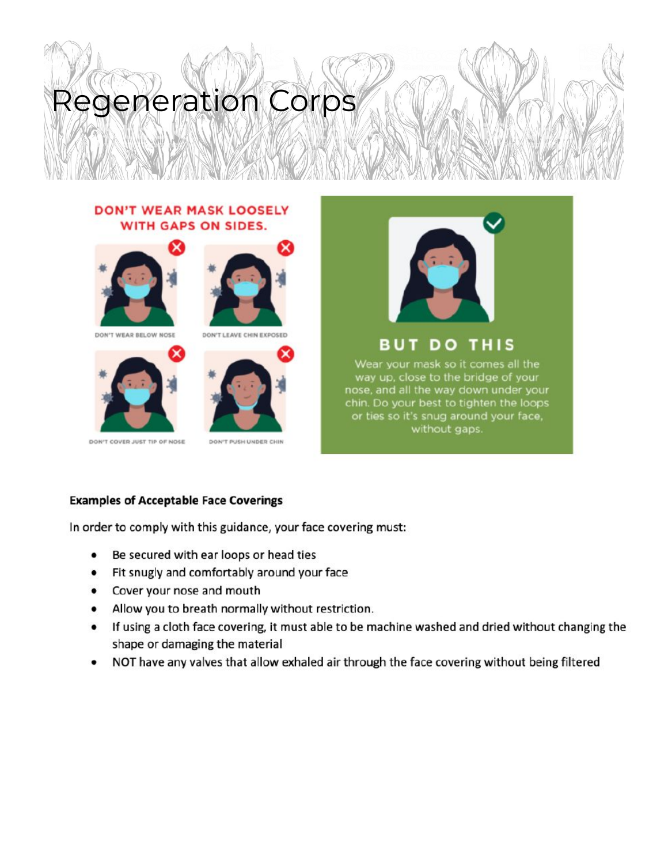#### **DON'T WEAR MASK LOOSELY WITH GAPS ON SIDES.**









DON'T COVER JUST TIP OF NOSE





DON'T PUSH UNDER CHIN



**BUT DO THIS** 

Wear your mask so it comes all the way up, close to the bridge of your nose, and all the way down under your chin. Do your best to tighten the loops or ties so it's snug around your face, without gaps.

#### **Examples of Acceptable Face Coverings**

In order to comply with this guidance, your face covering must:

- Be secured with ear loops or head ties  $\bullet$
- Fit snugly and comfortably around your face  $\bullet$
- Cover your nose and mouth  $\bullet$
- Allow you to breath normally without restriction.
- If using a cloth face covering, it must able to be machine washed and dried without changing the  $\bullet$ shape or damaging the material
- NOT have any valves that allow exhaled air through the face covering without being filtered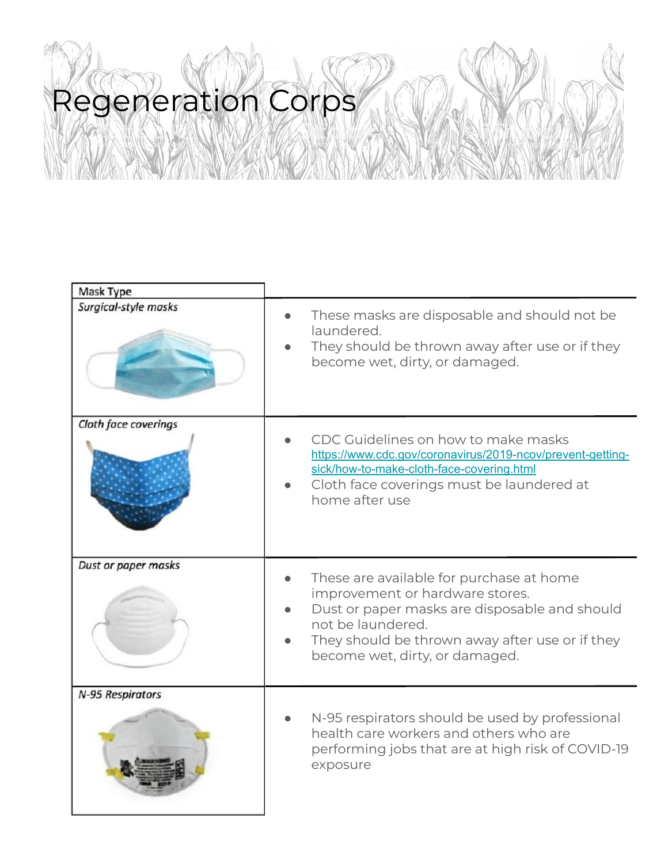| Mask Type            |                                                                                                                                                                                                                                        |
|----------------------|----------------------------------------------------------------------------------------------------------------------------------------------------------------------------------------------------------------------------------------|
| Surgical-style masks | These masks are disposable and should not be<br>laundered.<br>They should be thrown away after use or if they<br>become wet, dirty, or damaged.                                                                                        |
| Cloth face coverings | CDC Guidelines on how to make masks<br>https://www.cdc.gov/coronavirus/2019-ncov/prevent-getting-<br>sick/how-to-make-cloth-face-covering.html<br>Cloth face coverings must be laundered at<br>home after use                          |
| Dust or paper masks  | These are available for purchase at home<br>improvement or hardware stores.<br>Dust or paper masks are disposable and should<br>not be laundered.<br>They should be thrown away after use or if they<br>become wet, dirty, or damaged. |
| N-95 Respirators     | N-95 respirators should be used by professional<br>health care workers and others who are<br>performing jobs that are at high risk of COVID-19<br>exposure                                                                             |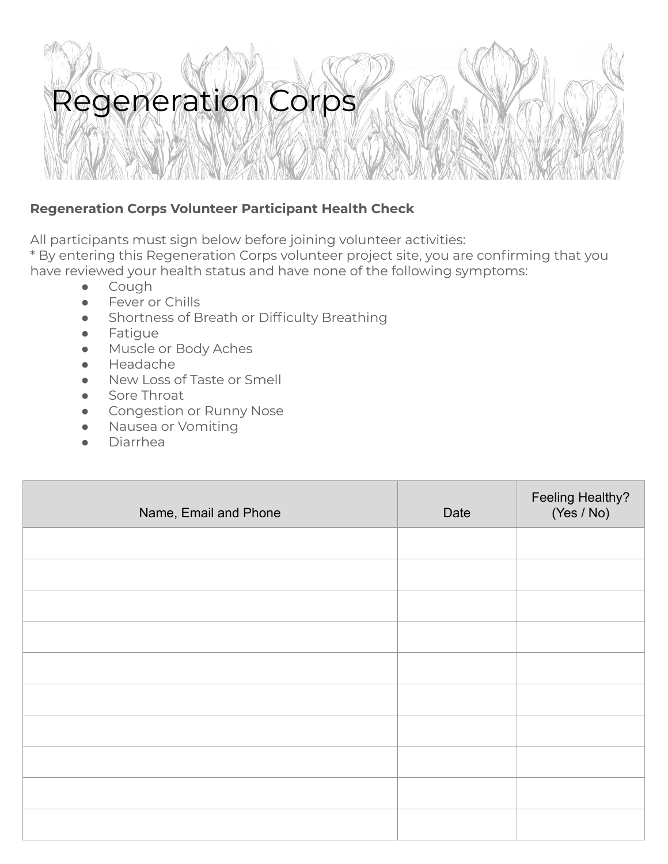### **Regeneration Corps Volunteer Participant Health Check**

All participants must sign below before joining volunteer activities:

\* By entering this Regeneration Corps volunteer project site, you are confirming that you have reviewed your health status and have none of the following symptoms:

- Cough
- Fever or Chills
- Shortness of Breath or Difficulty Breathing
- Fatigue
- Muscle or Body Aches
- Headache
- New Loss of Taste or Smell
- Sore Throat
- Congestion or Runny Nose
- Nausea or Vomiting
- **Diarrhea**

| Name, Email and Phone | Date | Feeling Healthy?<br>(Yes / No) |
|-----------------------|------|--------------------------------|
|                       |      |                                |
|                       |      |                                |
|                       |      |                                |
|                       |      |                                |
|                       |      |                                |
|                       |      |                                |
|                       |      |                                |
|                       |      |                                |
|                       |      |                                |
|                       |      |                                |